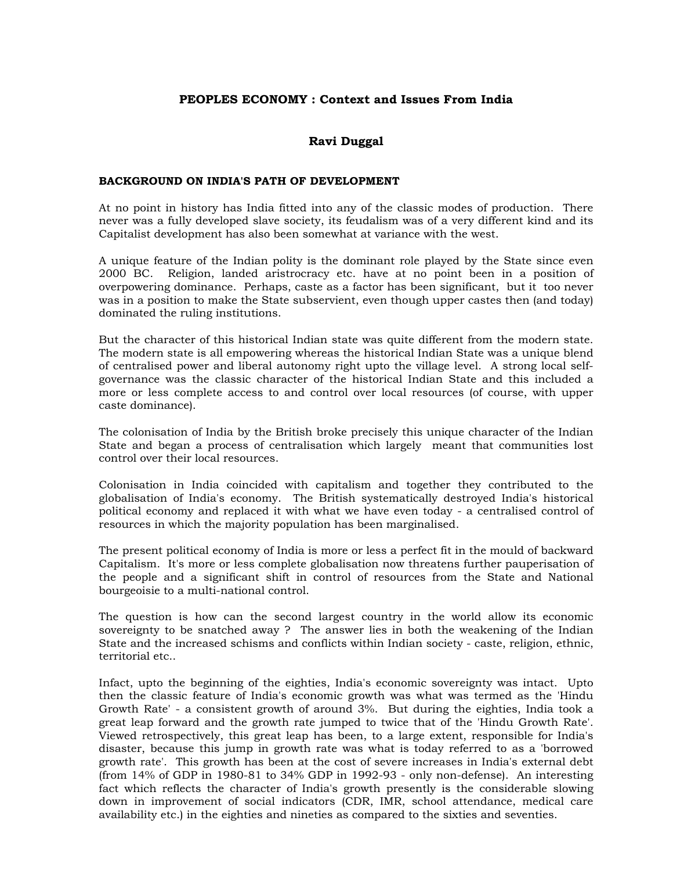# **PEOPLES ECONOMY : Context and Issues From India**

# **Ravi Duggal**

### **BACKGROUND ON INDIA'S PATH OF DEVELOPMENT**

At no point in history has India fitted into any of the classic modes of production. There never was a fully developed slave society, its feudalism was of a very different kind and its Capitalist development has also been somewhat at variance with the west.

A unique feature of the Indian polity is the dominant role played by the State since even 2000 BC. Religion, landed aristrocracy etc. have at no point been in a position of overpowering dominance. Perhaps, caste as a factor has been significant, but it too never was in a position to make the State subservient, even though upper castes then (and today) dominated the ruling institutions.

But the character of this historical Indian state was quite different from the modern state. The modern state is all empowering whereas the historical Indian State was a unique blend of centralised power and liberal autonomy right upto the village level. A strong local selfgovernance was the classic character of the historical Indian State and this included a more or less complete access to and control over local resources (of course, with upper caste dominance).

The colonisation of India by the British broke precisely this unique character of the Indian State and began a process of centralisation which largely meant that communities lost control over their local resources.

Colonisation in India coincided with capitalism and together they contributed to the globalisation of India's economy. The British systematically destroyed India's historical political economy and replaced it with what we have even today - a centralised control of resources in which the majority population has been marginalised.

The present political economy of India is more or less a perfect fit in the mould of backward Capitalism. It's more or less complete globalisation now threatens further pauperisation of the people and a significant shift in control of resources from the State and National bourgeoisie to a multi-national control.

The question is how can the second largest country in the world allow its economic sovereignty to be snatched away ? The answer lies in both the weakening of the Indian State and the increased schisms and conflicts within Indian society - caste, religion, ethnic, territorial etc..

Infact, upto the beginning of the eighties, India's economic sovereignty was intact. Upto then the classic feature of India's economic growth was what was termed as the 'Hindu Growth Rate' - a consistent growth of around 3%. But during the eighties, India took a great leap forward and the growth rate jumped to twice that of the 'Hindu Growth Rate'. Viewed retrospectively, this great leap has been, to a large extent, responsible for India's disaster, because this jump in growth rate was what is today referred to as a 'borrowed growth rate'. This growth has been at the cost of severe increases in India's external debt (from 14% of GDP in 1980-81 to 34% GDP in 1992-93 - only non-defense). An interesting fact which reflects the character of India's growth presently is the considerable slowing down in improvement of social indicators (CDR, IMR, school attendance, medical care availability etc.) in the eighties and nineties as compared to the sixties and seventies.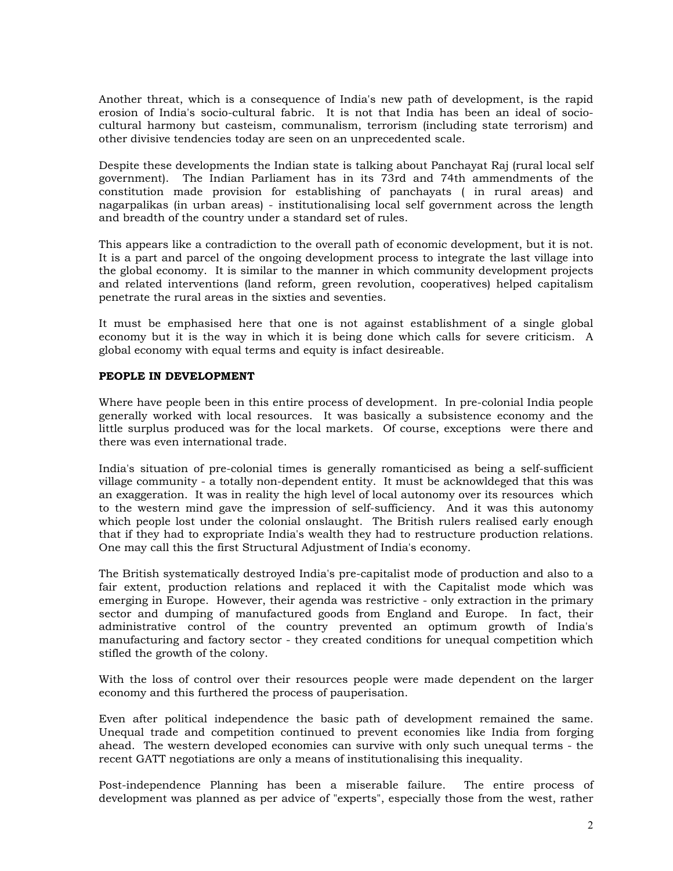Another threat, which is a consequence of India's new path of development, is the rapid erosion of India's socio-cultural fabric. It is not that India has been an ideal of sociocultural harmony but casteism, communalism, terrorism (including state terrorism) and other divisive tendencies today are seen on an unprecedented scale.

Despite these developments the Indian state is talking about Panchayat Raj (rural local self government). The Indian Parliament has in its 73rd and 74th ammendments of the constitution made provision for establishing of panchayats ( in rural areas) and nagarpalikas (in urban areas) - institutionalising local self government across the length and breadth of the country under a standard set of rules.

This appears like a contradiction to the overall path of economic development, but it is not. It is a part and parcel of the ongoing development process to integrate the last village into the global economy. It is similar to the manner in which community development projects and related interventions (land reform, green revolution, cooperatives) helped capitalism penetrate the rural areas in the sixties and seventies.

It must be emphasised here that one is not against establishment of a single global economy but it is the way in which it is being done which calls for severe criticism. A global economy with equal terms and equity is infact desireable.

### **PEOPLE IN DEVELOPMENT**

Where have people been in this entire process of development. In pre-colonial India people generally worked with local resources. It was basically a subsistence economy and the little surplus produced was for the local markets. Of course, exceptions were there and there was even international trade.

India's situation of pre-colonial times is generally romanticised as being a self-sufficient village community - a totally non-dependent entity. It must be acknowldeged that this was an exaggeration. It was in reality the high level of local autonomy over its resources which to the western mind gave the impression of self-sufficiency. And it was this autonomy which people lost under the colonial onslaught. The British rulers realised early enough that if they had to expropriate India's wealth they had to restructure production relations. One may call this the first Structural Adjustment of India's economy.

The British systematically destroyed India's pre-capitalist mode of production and also to a fair extent, production relations and replaced it with the Capitalist mode which was emerging in Europe. However, their agenda was restrictive - only extraction in the primary sector and dumping of manufactured goods from England and Europe. In fact, their administrative control of the country prevented an optimum growth of India's manufacturing and factory sector - they created conditions for unequal competition which stifled the growth of the colony.

With the loss of control over their resources people were made dependent on the larger economy and this furthered the process of pauperisation.

Even after political independence the basic path of development remained the same. Unequal trade and competition continued to prevent economies like India from forging ahead. The western developed economies can survive with only such unequal terms - the recent GATT negotiations are only a means of institutionalising this inequality.

Post-independence Planning has been a miserable failure. The entire process of development was planned as per advice of "experts", especially those from the west, rather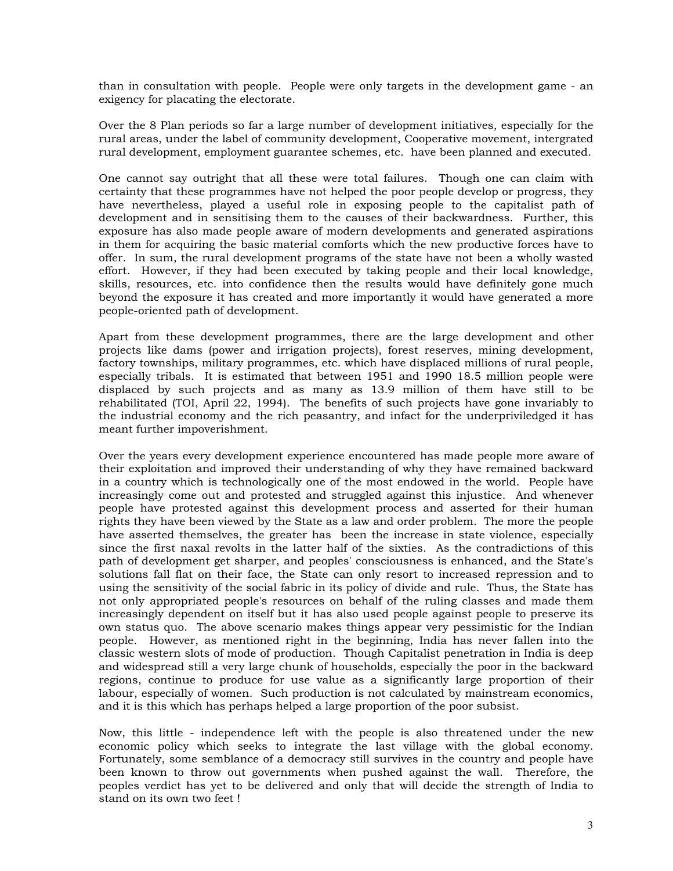than in consultation with people. People were only targets in the development game - an exigency for placating the electorate.

Over the 8 Plan periods so far a large number of development initiatives, especially for the rural areas, under the label of community development, Cooperative movement, intergrated rural development, employment guarantee schemes, etc. have been planned and executed.

One cannot say outright that all these were total failures. Though one can claim with certainty that these programmes have not helped the poor people develop or progress, they have nevertheless, played a useful role in exposing people to the capitalist path of development and in sensitising them to the causes of their backwardness. Further, this exposure has also made people aware of modern developments and generated aspirations in them for acquiring the basic material comforts which the new productive forces have to offer. In sum, the rural development programs of the state have not been a wholly wasted effort. However, if they had been executed by taking people and their local knowledge, skills, resources, etc. into confidence then the results would have definitely gone much beyond the exposure it has created and more importantly it would have generated a more people-oriented path of development.

Apart from these development programmes, there are the large development and other projects like dams (power and irrigation projects), forest reserves, mining development, factory townships, military programmes, etc. which have displaced millions of rural people, especially tribals. It is estimated that between 1951 and 1990 18.5 million people were displaced by such projects and as many as 13.9 million of them have still to be rehabilitated (TOI, April 22, 1994). The benefits of such projects have gone invariably to the industrial economy and the rich peasantry, and infact for the underpriviledged it has meant further impoverishment.

Over the years every development experience encountered has made people more aware of their exploitation and improved their understanding of why they have remained backward in a country which is technologically one of the most endowed in the world. People have increasingly come out and protested and struggled against this injustice. And whenever people have protested against this development process and asserted for their human rights they have been viewed by the State as a law and order problem. The more the people have asserted themselves, the greater has been the increase in state violence, especially since the first naxal revolts in the latter half of the sixties. As the contradictions of this path of development get sharper, and peoples' consciousness is enhanced, and the State's solutions fall flat on their face, the State can only resort to increased repression and to using the sensitivity of the social fabric in its policy of divide and rule. Thus, the State has not only appropriated people's resources on behalf of the ruling classes and made them increasingly dependent on itself but it has also used people against people to preserve its own status quo. The above scenario makes things appear very pessimistic for the Indian people. However, as mentioned right in the beginning, India has never fallen into the classic western slots of mode of production. Though Capitalist penetration in India is deep and widespread still a very large chunk of households, especially the poor in the backward regions, continue to produce for use value as a significantly large proportion of their labour, especially of women. Such production is not calculated by mainstream economics, and it is this which has perhaps helped a large proportion of the poor subsist.

Now, this little - independence left with the people is also threatened under the new economic policy which seeks to integrate the last village with the global economy. Fortunately, some semblance of a democracy still survives in the country and people have been known to throw out governments when pushed against the wall. Therefore, the peoples verdict has yet to be delivered and only that will decide the strength of India to stand on its own two feet !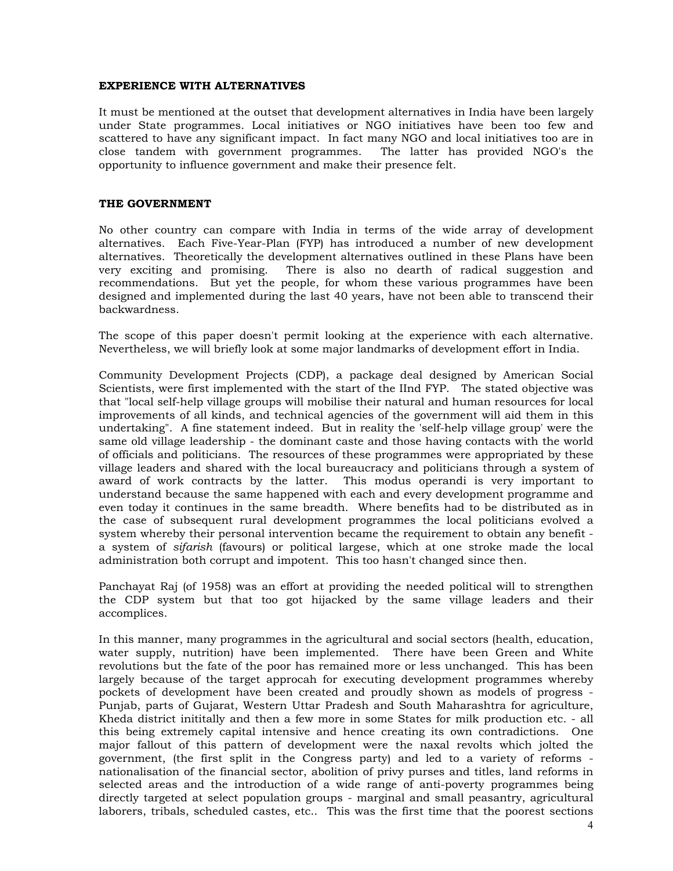### **EXPERIENCE WITH ALTERNATIVES**

It must be mentioned at the outset that development alternatives in India have been largely under State programmes. Local initiatives or NGO initiatives have been too few and scattered to have any significant impact. In fact many NGO and local initiatives too are in close tandem with government programmes. The latter has provided NGO's the opportunity to influence government and make their presence felt.

### **THE GOVERNMENT**

No other country can compare with India in terms of the wide array of development alternatives. Each Five-Year-Plan (FYP) has introduced a number of new development alternatives. Theoretically the development alternatives outlined in these Plans have been very exciting and promising. There is also no dearth of radical suggestion and recommendations. But yet the people, for whom these various programmes have been designed and implemented during the last 40 years, have not been able to transcend their backwardness.

The scope of this paper doesn't permit looking at the experience with each alternative. Nevertheless, we will briefly look at some major landmarks of development effort in India.

Community Development Projects (CDP), a package deal designed by American Social Scientists, were first implemented with the start of the IInd FYP. The stated objective was that "local self-help village groups will mobilise their natural and human resources for local improvements of all kinds, and technical agencies of the government will aid them in this undertaking". A fine statement indeed. But in reality the 'self-help village group' were the same old village leadership - the dominant caste and those having contacts with the world of officials and politicians. The resources of these programmes were appropriated by these village leaders and shared with the local bureaucracy and politicians through a system of award of work contracts by the latter. This modus operandi is very important to understand because the same happened with each and every development programme and even today it continues in the same breadth. Where benefits had to be distributed as in the case of subsequent rural development programmes the local politicians evolved a system whereby their personal intervention became the requirement to obtain any benefit a system of *sifarish* (favours) or political largese, which at one stroke made the local administration both corrupt and impotent. This too hasn't changed since then.

Panchayat Raj (of 1958) was an effort at providing the needed political will to strengthen the CDP system but that too got hijacked by the same village leaders and their accomplices.

In this manner, many programmes in the agricultural and social sectors (health, education, water supply, nutrition) have been implemented. There have been Green and White revolutions but the fate of the poor has remained more or less unchanged. This has been largely because of the target approcah for executing development programmes whereby pockets of development have been created and proudly shown as models of progress - Punjab, parts of Gujarat, Western Uttar Pradesh and South Maharashtra for agriculture, Kheda district inititally and then a few more in some States for milk production etc. - all this being extremely capital intensive and hence creating its own contradictions. One major fallout of this pattern of development were the naxal revolts which jolted the government, (the first split in the Congress party) and led to a variety of reforms nationalisation of the financial sector, abolition of privy purses and titles, land reforms in selected areas and the introduction of a wide range of anti-poverty programmes being directly targeted at select population groups - marginal and small peasantry, agricultural laborers, tribals, scheduled castes, etc.. This was the first time that the poorest sections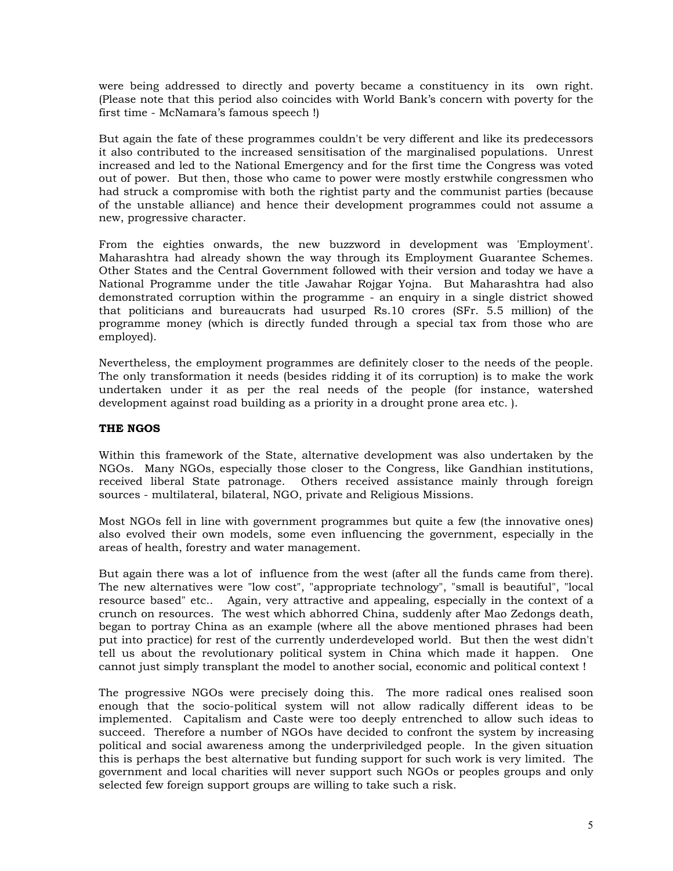were being addressed to directly and poverty became a constituency in its own right. (Please note that this period also coincides with World Bank's concern with poverty for the first time - McNamara's famous speech !)

But again the fate of these programmes couldn't be very different and like its predecessors it also contributed to the increased sensitisation of the marginalised populations. Unrest increased and led to the National Emergency and for the first time the Congress was voted out of power. But then, those who came to power were mostly erstwhile congressmen who had struck a compromise with both the rightist party and the communist parties (because of the unstable alliance) and hence their development programmes could not assume a new, progressive character.

From the eighties onwards, the new buzzword in development was 'Employment'. Maharashtra had already shown the way through its Employment Guarantee Schemes. Other States and the Central Government followed with their version and today we have a National Programme under the title Jawahar Rojgar Yojna. But Maharashtra had also demonstrated corruption within the programme - an enquiry in a single district showed that politicians and bureaucrats had usurped Rs.10 crores (SFr. 5.5 million) of the programme money (which is directly funded through a special tax from those who are employed).

Nevertheless, the employment programmes are definitely closer to the needs of the people. The only transformation it needs (besides ridding it of its corruption) is to make the work undertaken under it as per the real needs of the people (for instance, watershed development against road building as a priority in a drought prone area etc. ).

## **THE NGOS**

Within this framework of the State, alternative development was also undertaken by the NGOs. Many NGOs, especially those closer to the Congress, like Gandhian institutions, received liberal State patronage. Others received assistance mainly through foreign sources - multilateral, bilateral, NGO, private and Religious Missions.

Most NGOs fell in line with government programmes but quite a few (the innovative ones) also evolved their own models, some even influencing the government, especially in the areas of health, forestry and water management.

But again there was a lot of influence from the west (after all the funds came from there). The new alternatives were "low cost", "appropriate technology", "small is beautiful", "local resource based" etc.. Again, very attractive and appealing, especially in the context of a crunch on resources. The west which abhorred China, suddenly after Mao Zedongs death, began to portray China as an example (where all the above mentioned phrases had been put into practice) for rest of the currently underdeveloped world. But then the west didn't tell us about the revolutionary political system in China which made it happen. One cannot just simply transplant the model to another social, economic and political context !

The progressive NGOs were precisely doing this. The more radical ones realised soon enough that the socio-political system will not allow radically different ideas to be implemented. Capitalism and Caste were too deeply entrenched to allow such ideas to succeed. Therefore a number of NGOs have decided to confront the system by increasing political and social awareness among the underpriviledged people. In the given situation this is perhaps the best alternative but funding support for such work is very limited. The government and local charities will never support such NGOs or peoples groups and only selected few foreign support groups are willing to take such a risk.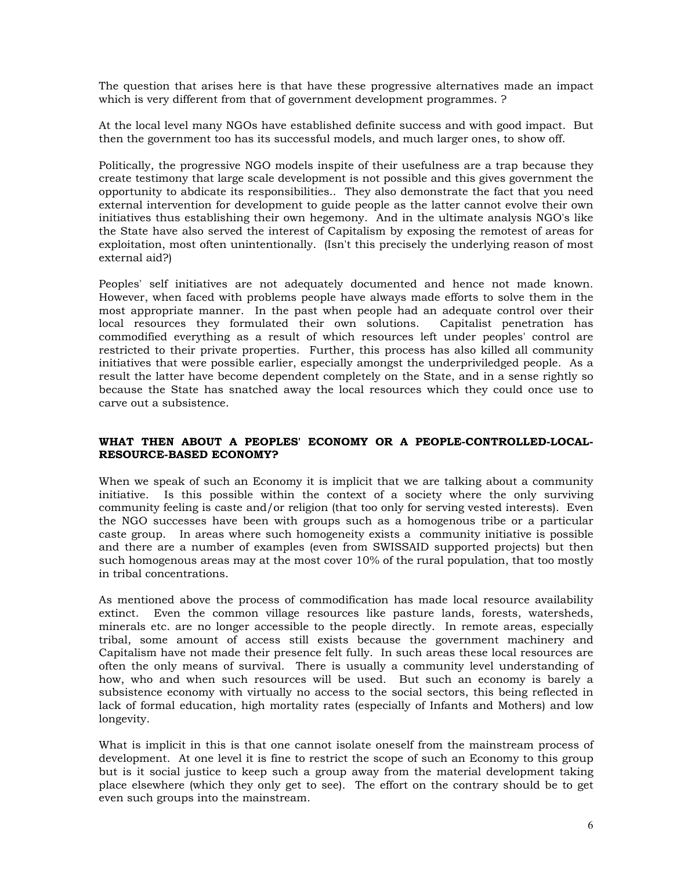The question that arises here is that have these progressive alternatives made an impact which is very different from that of government development programmes. ?

At the local level many NGOs have established definite success and with good impact. But then the government too has its successful models, and much larger ones, to show off.

Politically, the progressive NGO models inspite of their usefulness are a trap because they create testimony that large scale development is not possible and this gives government the opportunity to abdicate its responsibilities.. They also demonstrate the fact that you need external intervention for development to guide people as the latter cannot evolve their own initiatives thus establishing their own hegemony. And in the ultimate analysis NGO's like the State have also served the interest of Capitalism by exposing the remotest of areas for exploitation, most often unintentionally. (Isn't this precisely the underlying reason of most external aid?)

Peoples' self initiatives are not adequately documented and hence not made known. However, when faced with problems people have always made efforts to solve them in the most appropriate manner. In the past when people had an adequate control over their local resources they formulated their own solutions. Capitalist penetration has commodified everything as a result of which resources left under peoples' control are restricted to their private properties. Further, this process has also killed all community initiatives that were possible earlier, especially amongst the underpriviledged people. As a result the latter have become dependent completely on the State, and in a sense rightly so because the State has snatched away the local resources which they could once use to carve out a subsistence.

### **WHAT THEN ABOUT A PEOPLES' ECONOMY OR A PEOPLE-CONTROLLED-LOCAL-RESOURCE-BASED ECONOMY?**

When we speak of such an Economy it is implicit that we are talking about a community initiative. Is this possible within the context of a society where the only surviving community feeling is caste and/or religion (that too only for serving vested interests). Even the NGO successes have been with groups such as a homogenous tribe or a particular caste group. In areas where such homogeneity exists a community initiative is possible and there are a number of examples (even from SWISSAID supported projects) but then such homogenous areas may at the most cover 10% of the rural population, that too mostly in tribal concentrations.

As mentioned above the process of commodification has made local resource availability extinct. Even the common village resources like pasture lands, forests, watersheds, minerals etc. are no longer accessible to the people directly. In remote areas, especially tribal, some amount of access still exists because the government machinery and Capitalism have not made their presence felt fully. In such areas these local resources are often the only means of survival. There is usually a community level understanding of how, who and when such resources will be used. But such an economy is barely a subsistence economy with virtually no access to the social sectors, this being reflected in lack of formal education, high mortality rates (especially of Infants and Mothers) and low longevity.

What is implicit in this is that one cannot isolate oneself from the mainstream process of development. At one level it is fine to restrict the scope of such an Economy to this group but is it social justice to keep such a group away from the material development taking place elsewhere (which they only get to see). The effort on the contrary should be to get even such groups into the mainstream.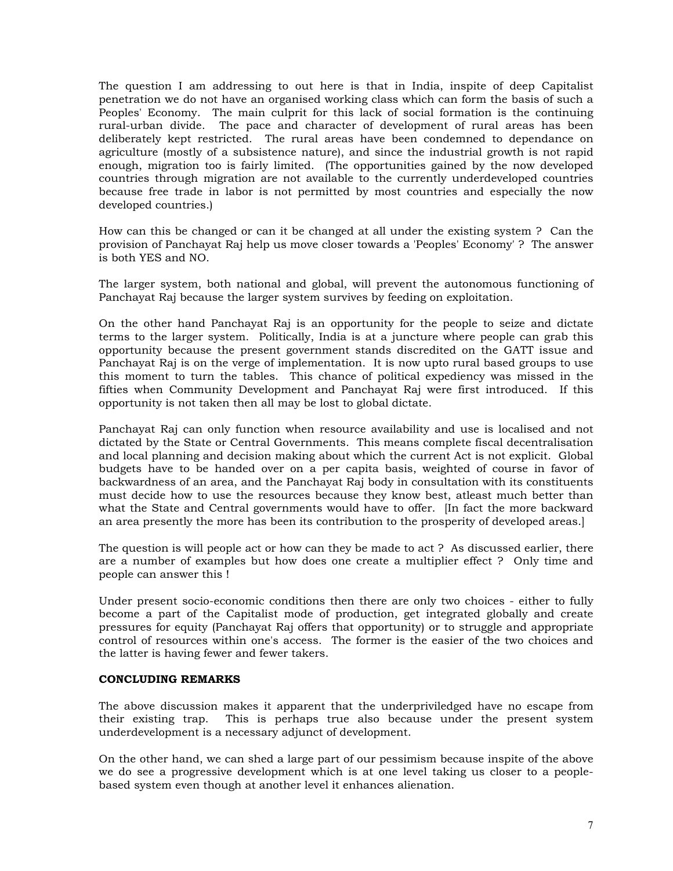The question I am addressing to out here is that in India, inspite of deep Capitalist penetration we do not have an organised working class which can form the basis of such a Peoples' Economy. The main culprit for this lack of social formation is the continuing rural-urban divide. The pace and character of development of rural areas has been deliberately kept restricted. The rural areas have been condemned to dependance on agriculture (mostly of a subsistence nature), and since the industrial growth is not rapid enough, migration too is fairly limited. (The opportunities gained by the now developed countries through migration are not available to the currently underdeveloped countries because free trade in labor is not permitted by most countries and especially the now developed countries.)

How can this be changed or can it be changed at all under the existing system ? Can the provision of Panchayat Raj help us move closer towards a 'Peoples' Economy' ? The answer is both YES and NO.

The larger system, both national and global, will prevent the autonomous functioning of Panchayat Raj because the larger system survives by feeding on exploitation.

On the other hand Panchayat Raj is an opportunity for the people to seize and dictate terms to the larger system. Politically, India is at a juncture where people can grab this opportunity because the present government stands discredited on the GATT issue and Panchayat Raj is on the verge of implementation. It is now upto rural based groups to use this moment to turn the tables. This chance of political expediency was missed in the fifties when Community Development and Panchayat Raj were first introduced. If this opportunity is not taken then all may be lost to global dictate.

Panchayat Raj can only function when resource availability and use is localised and not dictated by the State or Central Governments. This means complete fiscal decentralisation and local planning and decision making about which the current Act is not explicit. Global budgets have to be handed over on a per capita basis, weighted of course in favor of backwardness of an area, and the Panchayat Raj body in consultation with its constituents must decide how to use the resources because they know best, atleast much better than what the State and Central governments would have to offer. [In fact the more backward an area presently the more has been its contribution to the prosperity of developed areas.]

The question is will people act or how can they be made to act ? As discussed earlier, there are a number of examples but how does one create a multiplier effect ? Only time and people can answer this !

Under present socio-economic conditions then there are only two choices - either to fully become a part of the Capitalist mode of production, get integrated globally and create pressures for equity (Panchayat Raj offers that opportunity) or to struggle and appropriate control of resources within one's access. The former is the easier of the two choices and the latter is having fewer and fewer takers.

### **CONCLUDING REMARKS**

The above discussion makes it apparent that the underpriviledged have no escape from their existing trap. This is perhaps true also because under the present system underdevelopment is a necessary adjunct of development.

On the other hand, we can shed a large part of our pessimism because inspite of the above we do see a progressive development which is at one level taking us closer to a peoplebased system even though at another level it enhances alienation.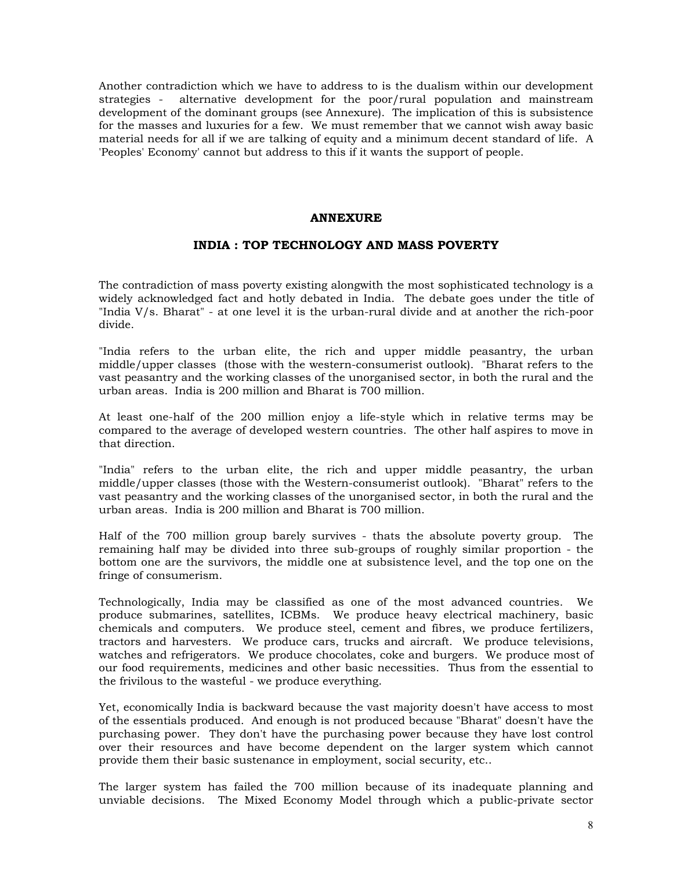Another contradiction which we have to address to is the dualism within our development strategies - alternative development for the poor/rural population and mainstream development of the dominant groups (see Annexure). The implication of this is subsistence for the masses and luxuries for a few. We must remember that we cannot wish away basic material needs for all if we are talking of equity and a minimum decent standard of life. A 'Peoples' Economy' cannot but address to this if it wants the support of people.

### **ANNEXURE**

## **INDIA : TOP TECHNOLOGY AND MASS POVERTY**

The contradiction of mass poverty existing alongwith the most sophisticated technology is a widely acknowledged fact and hotly debated in India. The debate goes under the title of "India V/s. Bharat" - at one level it is the urban-rural divide and at another the rich-poor divide.

"India refers to the urban elite, the rich and upper middle peasantry, the urban middle/upper classes (those with the western-consumerist outlook). "Bharat refers to the vast peasantry and the working classes of the unorganised sector, in both the rural and the urban areas. India is 200 million and Bharat is 700 million.

At least one-half of the 200 million enjoy a life-style which in relative terms may be compared to the average of developed western countries. The other half aspires to move in that direction.

"India" refers to the urban elite, the rich and upper middle peasantry, the urban middle/upper classes (those with the Western-consumerist outlook). "Bharat" refers to the vast peasantry and the working classes of the unorganised sector, in both the rural and the urban areas. India is 200 million and Bharat is 700 million.

Half of the 700 million group barely survives - thats the absolute poverty group. The remaining half may be divided into three sub-groups of roughly similar proportion - the bottom one are the survivors, the middle one at subsistence level, and the top one on the fringe of consumerism.

Technologically, India may be classified as one of the most advanced countries. We produce submarines, satellites, ICBMs. We produce heavy electrical machinery, basic chemicals and computers. We produce steel, cement and fibres, we produce fertilizers, tractors and harvesters. We produce cars, trucks and aircraft. We produce televisions, watches and refrigerators. We produce chocolates, coke and burgers. We produce most of our food requirements, medicines and other basic necessities. Thus from the essential to the frivilous to the wasteful - we produce everything.

Yet, economically India is backward because the vast majority doesn't have access to most of the essentials produced. And enough is not produced because "Bharat" doesn't have the purchasing power. They don't have the purchasing power because they have lost control over their resources and have become dependent on the larger system which cannot provide them their basic sustenance in employment, social security, etc..

The larger system has failed the 700 million because of its inadequate planning and unviable decisions. The Mixed Economy Model through which a public-private sector